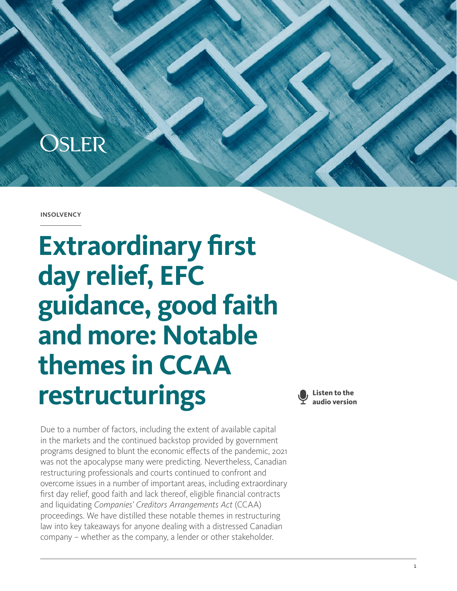

**INSOLVENCY** 

**Extraordinary first day relief, EFC guidance, good faith and more: Notable themes in CCAA restructurings**



Due to a number of factors, including the extent of available capital in the markets and the continued backstop provided by government programs designed to blunt the economic effects of the pandemic, 2021 was not the apocalypse many were predicting. Nevertheless, Canadian restructuring professionals and courts continued to confront and overcome issues in a number of important areas, including extraordinary first day relief, good faith and lack thereof, eligible financial contracts and liquidating *Companies' Creditors Arrangements Act* (CCAA) proceedings. We have distilled these notable themes in restructuring law into key takeaways for anyone dealing with a distressed Canadian company – whether as the company, a lender or other stakeholder.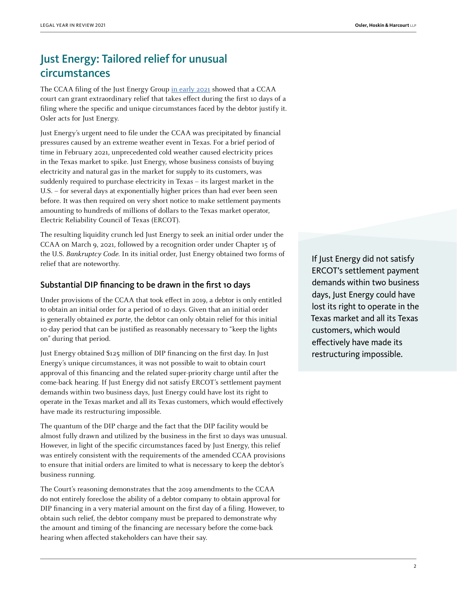# Just Energy: Tailored relief for unusual circumstances

The CCAA filing of the Just Energy Group [in early 2021](https://www.canlii.org/en/on/onsc/doc/2021/2021onsc1793/2021onsc1793.html?autocompleteStr=just%20energy&autocompletePos=17) showed that a CCAA court can grant extraordinary relief that takes effect during the first 10 days of a filing where the specific and unique circumstances faced by the debtor justify it. Osler acts for Just Energy.

Just Energy's urgent need to file under the CCAA was precipitated by financial pressures caused by an extreme weather event in Texas. For a brief period of time in February 2021, unprecedented cold weather caused electricity prices in the Texas market to spike. Just Energy, whose business consists of buying electricity and natural gas in the market for supply to its customers, was suddenly required to purchase electricity in Texas – its largest market in the U.S. – for several days at exponentially higher prices than had ever been seen before. It was then required on very short notice to make settlement payments amounting to hundreds of millions of dollars to the Texas market operator, Electric Reliability Council of Texas (ERCOT).

The resulting liquidity crunch led Just Energy to seek an initial order under the CCAA on March 9, 2021, followed by a recognition order under Chapter 15 of the U.S. Bankruptcy Code. In its initial order, Just Energy obtained two forms of relief that are noteworthy.

#### Substantial DIP financing to be drawn in the first 10 days

Under provisions of the CCAA that took effect in 2019, a debtor is only entitled to obtain an initial order for a period of 10 days. Given that an initial order is generally obtained ex parte, the debtor can only obtain relief for this initial 10-day period that can be justified as reasonably necessary to "keep the lights on" during that period.

Just Energy obtained \$125 million of DIP financing on the first day. In Just Energy's unique circumstances, it was not possible to wait to obtain court approval of this financing and the related super-priority charge until after the come-back hearing. If Just Energy did not satisfy ERCOT's settlement payment demands within two business days, Just Energy could have lost its right to operate in the Texas market and all its Texas customers, which would effectively have made its restructuring impossible.

The quantum of the DIP charge and the fact that the DIP facility would be almost fully drawn and utilized by the business in the first 10 days was unusual. However, in light of the specific circumstances faced by Just Energy, this relief was entirely consistent with the requirements of the amended CCAA provisions to ensure that initial orders are limited to what is necessary to keep the debtor's business running.

The Court's reasoning demonstrates that the 2019 amendments to the CCAA do not entirely foreclose the ability of a debtor company to obtain approval for DIP financing in a very material amount on the first day of a filing. However, to obtain such relief, the debtor company must be prepared to demonstrate why the amount and timing of the financing are necessary before the come-back hearing when affected stakeholders can have their say.

If Just Energy did not satisfy ERCOT's settlement payment demands within two business days, Just Energy could have lost its right to operate in the Texas market and all its Texas customers, which would effectively have made its restructuring impossible.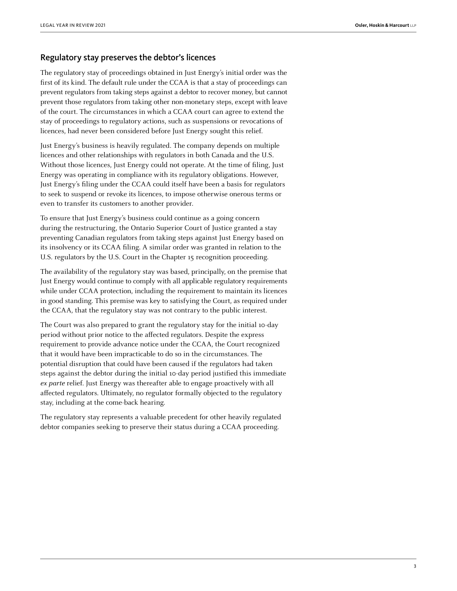#### Regulatory stay preserves the debtor's licences

The regulatory stay of proceedings obtained in Just Energy's initial order was the first of its kind. The default rule under the CCAA is that a stay of proceedings can prevent regulators from taking steps against a debtor to recover money, but cannot prevent those regulators from taking other non-monetary steps, except with leave of the court. The circumstances in which a CCAA court can agree to extend the stay of proceedings to regulatory actions, such as suspensions or revocations of licences, had never been considered before Just Energy sought this relief.

Just Energy's business is heavily regulated. The company depends on multiple licences and other relationships with regulators in both Canada and the U.S. Without those licences, Just Energy could not operate. At the time of filing, Just Energy was operating in compliance with its regulatory obligations. However, Just Energy's filing under the CCAA could itself have been a basis for regulators to seek to suspend or revoke its licences, to impose otherwise onerous terms or even to transfer its customers to another provider.

To ensure that Just Energy's business could continue as a going concern during the restructuring, the Ontario Superior Court of Justice granted a stay preventing Canadian regulators from taking steps against Just Energy based on its insolvency or its CCAA filing. A similar order was granted in relation to the U.S. regulators by the U.S. Court in the Chapter 15 recognition proceeding.

The availability of the regulatory stay was based, principally, on the premise that Just Energy would continue to comply with all applicable regulatory requirements while under CCAA protection, including the requirement to maintain its licences in good standing. This premise was key to satisfying the Court, as required under the CCAA, that the regulatory stay was not contrary to the public interest.

The Court was also prepared to grant the regulatory stay for the initial 10-day period without prior notice to the affected regulators. Despite the express requirement to provide advance notice under the CCAA, the Court recognized that it would have been impracticable to do so in the circumstances. The potential disruption that could have been caused if the regulators had taken steps against the debtor during the initial 10-day period justified this immediate ex parte relief. Just Energy was thereafter able to engage proactively with all affected regulators. Ultimately, no regulator formally objected to the regulatory stay, including at the come-back hearing.

The regulatory stay represents a valuable precedent for other heavily regulated debtor companies seeking to preserve their status during a CCAA proceeding.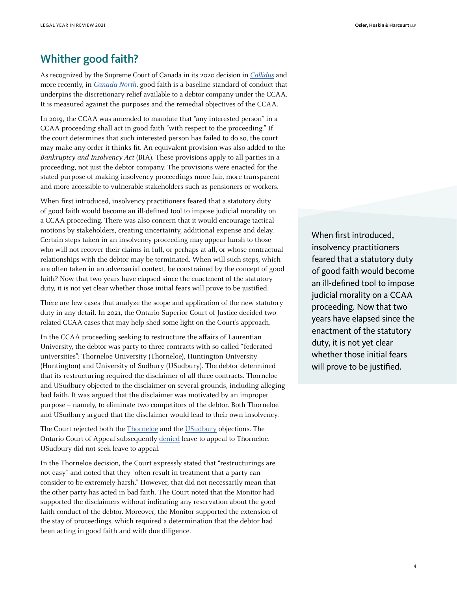### Whither good faith?

As recognized by the Supreme Court of Canada in its 2020 decision in [Callidus](https://www.canlii.org/en/ca/scc/doc/2020/2020scc10/2020scc10.html?resultIndex=1) and more recently, in *[Canada North](https://www.canlii.org/en/ca/scc/doc/2021/2021scc30/2021scc30.html?searchUrlHash=AAAAAQAEY2NhYQAAAAAB&resultIndex=1)*, good faith is a baseline standard of conduct that underpins the discretionary relief available to a debtor company under the CCAA. It is measured against the purposes and the remedial objectives of the CCAA.

In 2019, the CCAA was amended to mandate that "any interested person" in a CCAA proceeding shall act in good faith "with respect to the proceeding." If the court determines that such interested person has failed to do so, the court may make any order it thinks fit. An equivalent provision was also added to the Bankruptcy and Insolvency Act (BIA). These provisions apply to all parties in a proceeding, not just the debtor company. The provisions were enacted for the stated purpose of making insolvency proceedings more fair, more transparent and more accessible to vulnerable stakeholders such as pensioners or workers.

When first introduced, insolvency practitioners feared that a statutory duty of good faith would become an ill-defined tool to impose judicial morality on a CCAA proceeding. There was also concern that it would encourage tactical motions by stakeholders, creating uncertainty, additional expense and delay. Certain steps taken in an insolvency proceeding may appear harsh to those who will not recover their claims in full, or perhaps at all, or whose contractual relationships with the debtor may be terminated. When will such steps, which are often taken in an adversarial context, be constrained by the concept of good faith? Now that two years have elapsed since the enactment of the statutory duty, it is not yet clear whether those initial fears will prove to be justified.

There are few cases that analyze the scope and application of the new statutory duty in any detail. In 2021, the Ontario Superior Court of Justice decided two related CCAA cases that may help shed some light on the Court's approach.

In the CCAA proceeding seeking to restructure the affairs of Laurentian University, the debtor was party to three contracts with so-called "federated universities": Thorneloe University (Thorneloe), Huntington University (Huntington) and University of Sudbury (USudbury). The debtor determined that its restructuring required the disclaimer of all three contracts. Thorneloe and USudbury objected to the disclaimer on several grounds, including alleging bad faith. It was argued that the disclaimer was motivated by an improper purpose – namely, to eliminate two competitors of the debtor. Both Thorneloe and USudbury argued that the disclaimer would lead to their own insolvency.

The Court rejected both the **Thorneloe** and the **USudbury** objections. The Ontario Court of Appeal subsequently [denied](https://www.canlii.org/en/on/onca/doc/2021/2021onca448/2021onca448.html?searchUrlHash=AAAAAAAAAAEAFzIwMjEgT05TQyAzMjcyIChDYW5MSUkpAAAAAQANLzIwMjFvbnNjMzI3MgE) leave to appeal to Thorneloe. USudbury did not seek leave to appeal.

In the Thorneloe decision, the Court expressly stated that "restructurings are not easy" and noted that they "often result in treatment that a party can consider to be extremely harsh." However, that did not necessarily mean that the other party has acted in bad faith. The Court noted that the Monitor had supported the disclaimers without indicating any reservation about the good faith conduct of the debtor. Moreover, the Monitor supported the extension of the stay of proceedings, which required a determination that the debtor had been acting in good faith and with due diligence.

When first introduced, insolvency practitioners feared that a statutory duty of good faith would become an ill-defined tool to impose judicial morality on a CCAA proceeding. Now that two years have elapsed since the enactment of the statutory duty, it is not yet clear whether those initial fears will prove to be justified.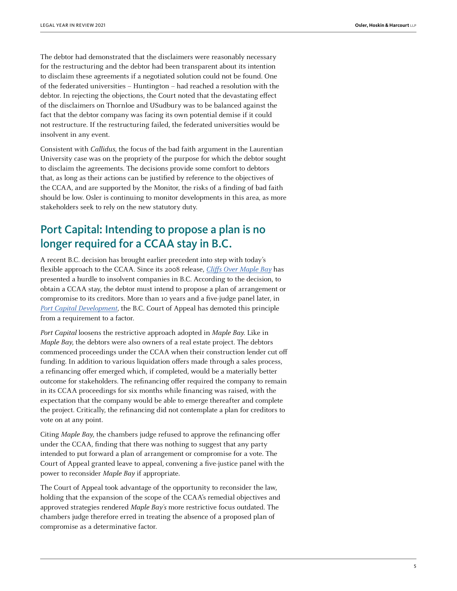The debtor had demonstrated that the disclaimers were reasonably necessary for the restructuring and the debtor had been transparent about its intention to disclaim these agreements if a negotiated solution could not be found. One of the federated universities – Huntington – had reached a resolution with the debtor. In rejecting the objections, the Court noted that the devastating effect of the disclaimers on Thornloe and USudbury was to be balanced against the fact that the debtor company was facing its own potential demise if it could not restructure. If the restructuring failed, the federated universities would be insolvent in any event.

Consistent with Callidus, the focus of the bad faith argument in the Laurentian University case was on the propriety of the purpose for which the debtor sought to disclaim the agreements. The decisions provide some comfort to debtors that, as long as their actions can be justified by reference to the objectives of the CCAA, and are supported by the Monitor, the risks of a finding of bad faith should be low. Osler is continuing to monitor developments in this area, as more stakeholders seek to rely on the new statutory duty.

## Port Capital: Intending to propose a plan is no longer required for a CCAA stay in B.C.

A recent B.C. decision has brought earlier precedent into step with today's flexible approach to the CCAA. Since its 2008 release, *[Cliffs Over Maple Bay](https://www.canlii.org/en/bc/bcca/doc/2008/2008bcca327/2008bcca327.html?autocompleteStr=cliffs%20over&autocompletePos=2)* has presented a hurdle to insolvent companies in B.C. According to the decision, to obtain a CCAA stay, the debtor must intend to propose a plan of arrangement or compromise to its creditors. More than 10 years and a five-judge panel later, in [Port Capital Development](https://www.canlii.org/en/bc/bcca/doc/2021/2021bcca382/2021bcca382.html?resultIndex=3), the B.C. Court of Appeal has demoted this principle from a requirement to a factor.

Port Capital loosens the restrictive approach adopted in Maple Bay. Like in Maple Bay, the debtors were also owners of a real estate project. The debtors commenced proceedings under the CCAA when their construction lender cut off funding. In addition to various liquidation offers made through a sales process, a refinancing offer emerged which, if completed, would be a materially better outcome for stakeholders. The refinancing offer required the company to remain in its CCAA proceedings for six months while financing was raised, with the expectation that the company would be able to emerge thereafter and complete the project. Critically, the refinancing did not contemplate a plan for creditors to vote on at any point.

Citing Maple Bay, the chambers judge refused to approve the refinancing offer under the CCAA, finding that there was nothing to suggest that any party intended to put forward a plan of arrangement or compromise for a vote. The Court of Appeal granted leave to appeal, convening a five-justice panel with the power to reconsider Maple Bay if appropriate.

The Court of Appeal took advantage of the opportunity to reconsider the law, holding that the expansion of the scope of the CCAA's remedial objectives and approved strategies rendered Maple Bay's more restrictive focus outdated. The chambers judge therefore erred in treating the absence of a proposed plan of compromise as a determinative factor.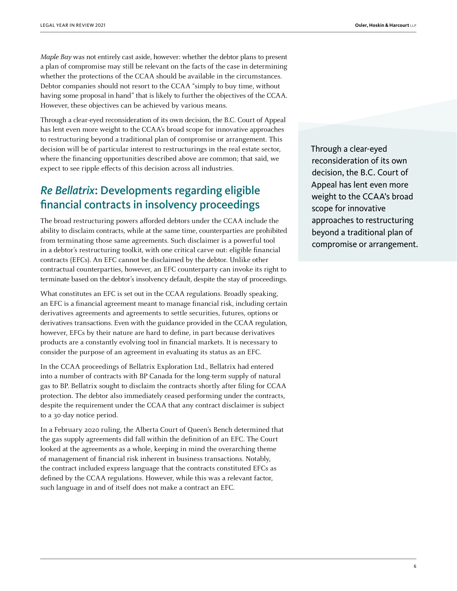Maple Bay was not entirely cast aside, however: whether the debtor plans to present a plan of compromise may still be relevant on the facts of the case in determining whether the protections of the CCAA should be available in the circumstances. Debtor companies should not resort to the CCAA "simply to buy time, without having some proposal in hand" that is likely to further the objectives of the CCAA. However, these objectives can be achieved by various means.

Through a clear-eyed reconsideration of its own decision, the B.C. Court of Appeal has lent even more weight to the CCAA's broad scope for innovative approaches to restructuring beyond a traditional plan of compromise or arrangement. This decision will be of particular interest to restructurings in the real estate sector, where the financing opportunities described above are common; that said, we expect to see ripple effects of this decision across all industries.

## *Re Bellatrix*: Developments regarding eligible financial contracts in insolvency proceedings

The broad restructuring powers afforded debtors under the CCAA include the ability to disclaim contracts, while at the same time, counterparties are prohibited from terminating those same agreements. Such disclaimer is a powerful tool in a debtor's restructuring toolkit, with one critical carve out: eligible financial contracts (EFCs). An EFC cannot be disclaimed by the debtor. Unlike other contractual counterparties, however, an EFC counterparty can invoke its right to terminate based on the debtor's insolvency default, despite the stay of proceedings.

What constitutes an EFC is set out in the CCAA regulations. Broadly speaking, an EFC is a financial agreement meant to manage financial risk, including certain derivatives agreements and agreements to settle securities, futures, options or derivatives transactions. Even with the guidance provided in the CCAA regulation, however, EFCs by their nature are hard to define, in part because derivatives products are a constantly evolving tool in financial markets. It is necessary to consider the purpose of an agreement in evaluating its status as an EFC.

In the CCAA proceedings of Bellatrix Exploration Ltd., Bellatrix had entered into a number of contracts with BP Canada for the long-term supply of natural gas to BP. Bellatrix sought to disclaim the contracts shortly after filing for CCAA protection. The debtor also immediately ceased performing under the contracts, despite the requirement under the CCAA that any contract disclaimer is subject to a 30-day notice period.

In a February 2020 ruling, the Alberta Court of Queen's Bench determined that the gas supply agreements did fall within the definition of an EFC. The Court looked at the agreements as a whole, keeping in mind the overarching theme of management of financial risk inherent in business transactions. Notably, the contract included express language that the contracts constituted EFCs as defined by the CCAA regulations. However, while this was a relevant factor, such language in and of itself does not make a contract an EFC.

Through a clear-eyed reconsideration of its own decision, the B.C. Court of Appeal has lent even more weight to the CCAA's broad scope for innovative approaches to restructuring beyond a traditional plan of compromise or arrangement.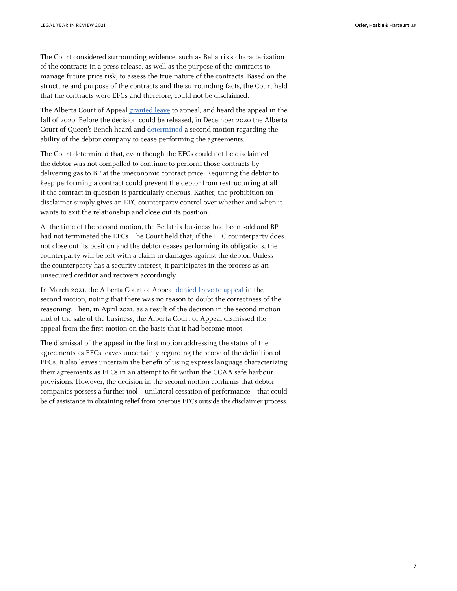The Court considered surrounding evidence, such as Bellatrix's characterization of the contracts in a press release, as well as the purpose of the contracts to manage future price risk, to assess the true nature of the contracts. Based on the structure and purpose of the contracts and the surrounding facts, the Court held that the contracts were EFCs and therefore, could not be disclaimed.

The Alberta Court of Appeal [granted leave](https://www.canlii.org/en/ab/abca/doc/2020/2020abca178/2020abca178.html) to appeal, and heard the appeal in the fall of 2020. Before the decision could be released, in December 2020 the Alberta Court of Queen's Bench heard and [determined](https://www.canlii.org/en/ab/abqb/doc/2020/2020abqb809/2020abqb809.html?resultIndex=7) a second motion regarding the ability of the debtor company to cease performing the agreements.

The Court determined that, even though the EFCs could not be disclaimed, the debtor was not compelled to continue to perform those contracts by delivering gas to BP at the uneconomic contract price. Requiring the debtor to keep performing a contract could prevent the debtor from restructuring at all if the contract in question is particularly onerous. Rather, the prohibition on disclaimer simply gives an EFC counterparty control over whether and when it wants to exit the relationship and close out its position.

At the time of the second motion, the Bellatrix business had been sold and BP had not terminated the EFCs. The Court held that, if the EFC counterparty does not close out its position and the debtor ceases performing its obligations, the counterparty will be left with a claim in damages against the debtor. Unless the counterparty has a security interest, it participates in the process as an unsecured creditor and recovers accordingly.

In March 2021, the Alberta Court of Appeal [denied leave to appeal](https://www.canlii.org/en/ab/abca/doc/2021/2021abca85/2021abca85.html?searchUrlHash=AAAAAQAFam9uZXMAAAAAAQ&resultIndex=1) in the second motion, noting that there was no reason to doubt the correctness of the reasoning. Then, in April 2021, as a result of the decision in the second motion and of the sale of the business, the Alberta Court of Appeal dismissed the appeal from the first motion on the basis that it had become moot.

The dismissal of the appeal in the first motion addressing the status of the agreements as EFCs leaves uncertainty regarding the scope of the definition of EFCs. It also leaves uncertain the benefit of using express language characterizing their agreements as EFCs in an attempt to fit within the CCAA safe harbour provisions. However, the decision in the second motion confirms that debtor companies possess a further tool – unilateral cessation of performance – that could be of assistance in obtaining relief from onerous EFCs outside the disclaimer process.